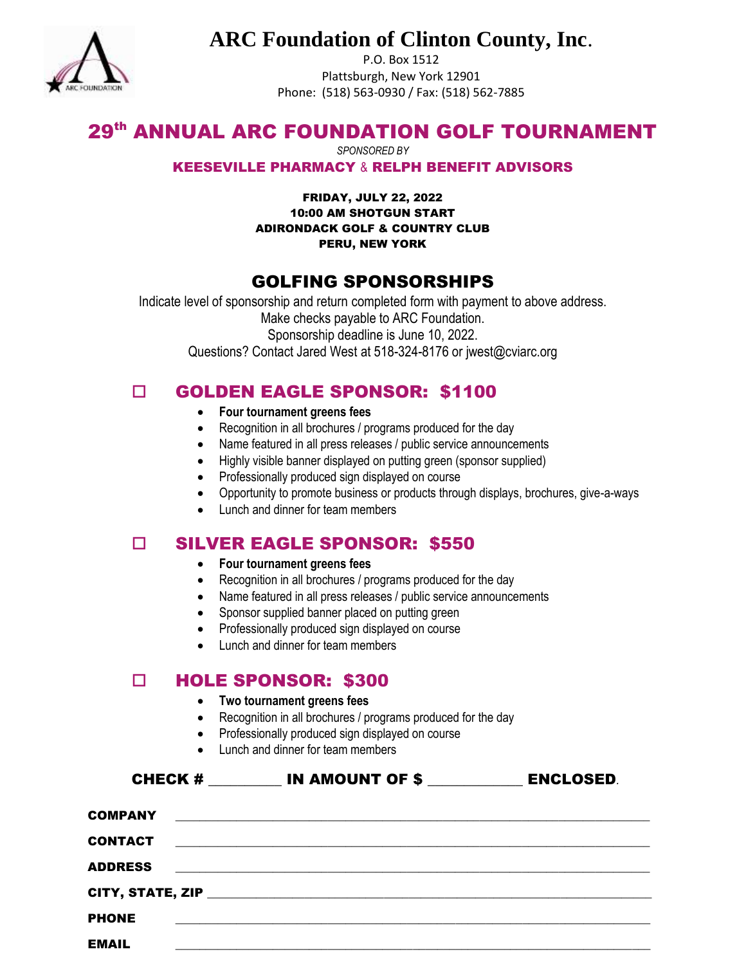

# **ARC Foundation of Clinton County, Inc**.

P.O. Box 1512 Plattsburgh, New York 12901 Phone: (518) 563-0930 / Fax: (518) 562-7885

# 29<sup>th</sup> ANNUAL ARC FOUNDATION GOLF TOURNAMENT

*SPONSORED BY*

#### KEESEVILLE PHARMACY & RELPH BENEFIT ADVISORS

FRIDAY, JULY 22, 2022 10:00 AM SHOTGUN START ADIRONDACK GOLF & COUNTRY CLUB PERU, NEW YORK

## GOLFING SPONSORSHIPS

Indicate level of sponsorship and return completed form with payment to above address. Make checks payable to ARC Foundation. Sponsorship deadline is June 10, 2022. Questions? Contact Jared West at 518-324-8176 or jwest@cviarc.org

## GOLDEN EAGLE SPONSOR: \$1100

- **Four tournament greens fees**
- Recognition in all brochures / programs produced for the day
- Name featured in all press releases / public service announcements
- Highly visible banner displayed on putting green (sponsor supplied)
- Professionally produced sign displayed on course
- Opportunity to promote business or products through displays, brochures, give-a-ways
- Lunch and dinner for team members

### SILVER EAGLE SPONSOR: \$550

- **Four tournament greens fees**
- Recognition in all brochures / programs produced for the day
- Name featured in all press releases / public service announcements
- Sponsor supplied banner placed on putting green
- Professionally produced sign displayed on course
- Lunch and dinner for team members

### D HOLE SPONSOR: \$300

- **Two tournament greens fees**
- Recognition in all brochures / programs produced for the day
- Professionally produced sign displayed on course
- 

|                | • Lunch and dinner for team members                              |                  |  |  |  |
|----------------|------------------------------------------------------------------|------------------|--|--|--|
|                | CHECK # IN AMOUNT OF \$                                          | <b>ENCLOSED.</b> |  |  |  |
|                |                                                                  |                  |  |  |  |
| CONTACT        | <u> 1980 - Jan Alexander de Amerikaanse kommunister († 1950)</u> |                  |  |  |  |
| <b>ADDRESS</b> |                                                                  |                  |  |  |  |
|                |                                                                  |                  |  |  |  |
| <b>PHONE</b>   |                                                                  |                  |  |  |  |
| <b>EMAIL</b>   |                                                                  |                  |  |  |  |
|                |                                                                  |                  |  |  |  |